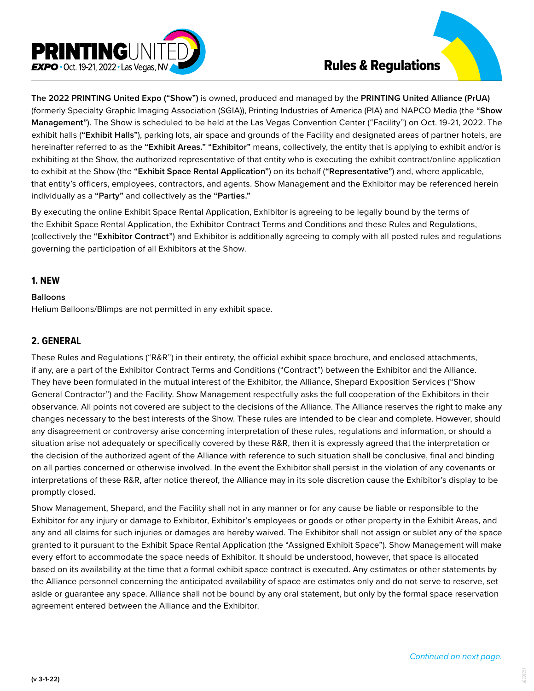

**The 2022 PRINTING United Expo ("Show")** is owned, produced and managed by the **PRINTING United Alliance (PrUA)**  (formerly Specialty Graphic Imaging Association (SGIA)), Printing Industries of America (PIA) and NAPCO Media (the **"Show Management"**). The Show is scheduled to be held at the Las Vegas Convention Center ("Facility") on Oct. 19-21, 2022. The exhibit halls (**"Exhibit Halls"**), parking lots, air space and grounds of the Facility and designated areas of partner hotels, are hereinafter referred to as the **"Exhibit Areas." "Exhibitor"** means, collectively, the entity that is applying to exhibit and/or is exhibiting at the Show, the authorized representative of that entity who is executing the exhibit contract/online application to exhibit at the Show (the **"Exhibit Space Rental Application"**) on its behalf (**"Representative"**) and, where applicable, that entity's officers, employees, contractors, and agents. Show Management and the Exhibitor may be referenced herein individually as a **"Party"** and collectively as the **"Parties."**

By executing the online Exhibit Space Rental Application, Exhibitor is agreeing to be legally bound by the terms of the Exhibit Space Rental Application, the Exhibitor Contract Terms and Conditions and these Rules and Regulations, (collectively the **"Exhibitor Contract"**) and Exhibitor is additionally agreeing to comply with all posted rules and regulations governing the participation of all Exhibitors at the Show.

## **1. NEW**

#### **Balloons**

Helium Balloons/Blimps are not permitted in any exhibit space.

### **2. GENERAL**

These Rules and Regulations ("R&R") in their entirety, the official exhibit space brochure, and enclosed attachments, if any, are a part of the Exhibitor Contract Terms and Conditions ("Contract") between the Exhibitor and the Alliance. They have been formulated in the mutual interest of the Exhibitor, the Alliance, Shepard Exposition Services ("Show General Contractor") and the Facility. Show Management respectfully asks the full cooperation of the Exhibitors in their observance. All points not covered are subject to the decisions of the Alliance. The Alliance reserves the right to make any changes necessary to the best interests of the Show. These rules are intended to be clear and complete. However, should any disagreement or controversy arise concerning interpretation of these rules, regulations and information, or should a situation arise not adequately or specifically covered by these R&R, then it is expressly agreed that the interpretation or the decision of the authorized agent of the Alliance with reference to such situation shall be conclusive, final and binding on all parties concerned or otherwise involved. In the event the Exhibitor shall persist in the violation of any covenants or interpretations of these R&R, after notice thereof, the Alliance may in its sole discretion cause the Exhibitor's display to be promptly closed.

Show Management, Shepard, and the Facility shall not in any manner or for any cause be liable or responsible to the Exhibitor for any injury or damage to Exhibitor, Exhibitor's employees or goods or other property in the Exhibit Areas, and any and all claims for such injuries or damages are hereby waived. The Exhibitor shall not assign or sublet any of the space granted to it pursuant to the Exhibit Space Rental Application (the "Assigned Exhibit Space"). Show Management will make every effort to accommodate the space needs of Exhibitor. It should be understood, however, that space is allocated based on its availability at the time that a formal exhibit space contract is executed. Any estimates or other statements by the Alliance personnel concerning the anticipated availability of space are estimates only and do not serve to reserve, set aside or guarantee any space. Alliance shall not be bound by any oral statement, but only by the formal space reservation agreement entered between the Alliance and the Exhibitor.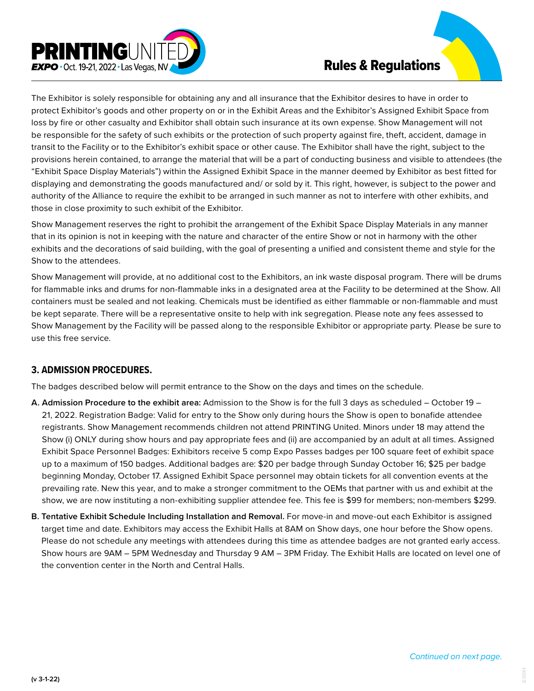

The Exhibitor is solely responsible for obtaining any and all insurance that the Exhibitor desires to have in order to protect Exhibitor's goods and other property on or in the Exhibit Areas and the Exhibitor's Assigned Exhibit Space from loss by fire or other casualty and Exhibitor shall obtain such insurance at its own expense. Show Management will not be responsible for the safety of such exhibits or the protection of such property against fire, theft, accident, damage in transit to the Facility or to the Exhibitor's exhibit space or other cause. The Exhibitor shall have the right, subject to the provisions herein contained, to arrange the material that will be a part of conducting business and visible to attendees (the "Exhibit Space Display Materials") within the Assigned Exhibit Space in the manner deemed by Exhibitor as best fitted for displaying and demonstrating the goods manufactured and/ or sold by it. This right, however, is subject to the power and authority of the Alliance to require the exhibit to be arranged in such manner as not to interfere with other exhibits, and those in close proximity to such exhibit of the Exhibitor.

Show Management reserves the right to prohibit the arrangement of the Exhibit Space Display Materials in any manner that in its opinion is not in keeping with the nature and character of the entire Show or not in harmony with the other exhibits and the decorations of said building, with the goal of presenting a unified and consistent theme and style for the Show to the attendees.

Show Management will provide, at no additional cost to the Exhibitors, an ink waste disposal program. There will be drums for flammable inks and drums for non-flammable inks in a designated area at the Facility to be determined at the Show. All containers must be sealed and not leaking. Chemicals must be identified as either flammable or non-flammable and must be kept separate. There will be a representative onsite to help with ink segregation. Please note any fees assessed to Show Management by the Facility will be passed along to the responsible Exhibitor or appropriate party. Please be sure to use this free service.

## **3. ADMISSION PROCEDURES.**

The badges described below will permit entrance to the Show on the days and times on the schedule.

- **A. Admission Procedure to the exhibit area:** Admission to the Show is for the full 3 days as scheduled October 19 21, 2022. Registration Badge: Valid for entry to the Show only during hours the Show is open to bonafide attendee registrants. Show Management recommends children not attend PRINTING United. Minors under 18 may attend the Show (i) ONLY during show hours and pay appropriate fees and (ii) are accompanied by an adult at all times. Assigned Exhibit Space Personnel Badges: Exhibitors receive 5 comp Expo Passes badges per 100 square feet of exhibit space up to a maximum of 150 badges. Additional badges are: \$20 per badge through Sunday October 16; \$25 per badge beginning Monday, October 17. Assigned Exhibit Space personnel may obtain tickets for all convention events at the prevailing rate. New this year, and to make a stronger commitment to the OEMs that partner with us and exhibit at the show, we are now instituting a non-exhibiting supplier attendee fee. This fee is \$99 for members; non-members \$299.
- **B. Tentative Exhibit Schedule Including Installation and Removal.** For move-in and move-out each Exhibitor is assigned target time and date. Exhibitors may access the Exhibit Halls at 8AM on Show days, one hour before the Show opens. Please do not schedule any meetings with attendees during this time as attendee badges are not granted early access. Show hours are 9AM – 5PM Wednesday and Thursday 9 AM – 3PM Friday. The Exhibit Halls are located on level one of the convention center in the North and Central Halls.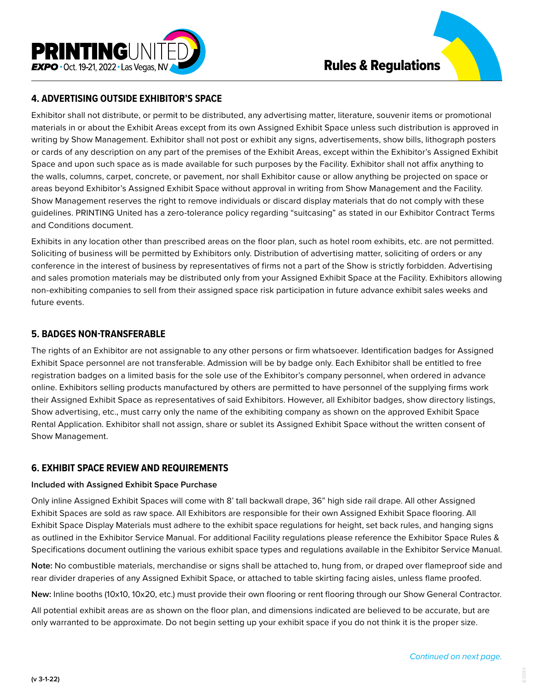

## **4. ADVERTISING OUTSIDE EXHIBITOR'S SPACE**

Exhibitor shall not distribute, or permit to be distributed, any advertising matter, literature, souvenir items or promotional materials in or about the Exhibit Areas except from its own Assigned Exhibit Space unless such distribution is approved in writing by Show Management. Exhibitor shall not post or exhibit any signs, advertisements, show bills, lithograph posters or cards of any description on any part of the premises of the Exhibit Areas, except within the Exhibitor's Assigned Exhibit Space and upon such space as is made available for such purposes by the Facility. Exhibitor shall not affix anything to the walls, columns, carpet, concrete, or pavement, nor shall Exhibitor cause or allow anything be projected on space or areas beyond Exhibitor's Assigned Exhibit Space without approval in writing from Show Management and the Facility. Show Management reserves the right to remove individuals or discard display materials that do not comply with these guidelines. PRINTING United has a zero-tolerance policy regarding "suitcasing" as stated in our Exhibitor Contract Terms and Conditions document.

Exhibits in any location other than prescribed areas on the floor plan, such as hotel room exhibits, etc. are not permitted. Soliciting of business will be permitted by Exhibitors only. Distribution of advertising matter, soliciting of orders or any conference in the interest of business by representatives of firms not a part of the Show is strictly forbidden. Advertising and sales promotion materials may be distributed only from your Assigned Exhibit Space at the Facility. Exhibitors allowing non-exhibiting companies to sell from their assigned space risk participation in future advance exhibit sales weeks and future events.

### **5. BADGES NON-TRANSFERABLE**

The rights of an Exhibitor are not assignable to any other persons or firm whatsoever. Identification badges for Assigned Exhibit Space personnel are not transferable. Admission will be by badge only. Each Exhibitor shall be entitled to free registration badges on a limited basis for the sole use of the Exhibitor's company personnel, when ordered in advance online. Exhibitors selling products manufactured by others are permitted to have personnel of the supplying firms work their Assigned Exhibit Space as representatives of said Exhibitors. However, all Exhibitor badges, show directory listings, Show advertising, etc., must carry only the name of the exhibiting company as shown on the approved Exhibit Space Rental Application. Exhibitor shall not assign, share or sublet its Assigned Exhibit Space without the written consent of Show Management.

## **6. EXHIBIT SPACE REVIEW AND REQUIREMENTS**

#### **Included with Assigned Exhibit Space Purchase**

Only inline Assigned Exhibit Spaces will come with 8' tall backwall drape, 36" high side rail drape. All other Assigned Exhibit Spaces are sold as raw space. All Exhibitors are responsible for their own Assigned Exhibit Space flooring. All Exhibit Space Display Materials must adhere to the exhibit space regulations for height, set back rules, and hanging signs as outlined in the Exhibitor Service Manual. For additional Facility regulations please reference the Exhibitor Space Rules & Specifications document outlining the various exhibit space types and regulations available in the Exhibitor Service Manual.

**Note:** No combustible materials, merchandise or signs shall be attached to, hung from, or draped over flameproof side and rear divider draperies of any Assigned Exhibit Space, or attached to table skirting facing aisles, unless flame proofed.

**New:** Inline booths (10x10, 10x20, etc.) must provide their own flooring or rent flooring through our Show General Contractor.

All potential exhibit areas are as shown on the floor plan, and dimensions indicated are believed to be accurate, but are only warranted to be approximate. Do not begin setting up your exhibit space if you do not think it is the proper size.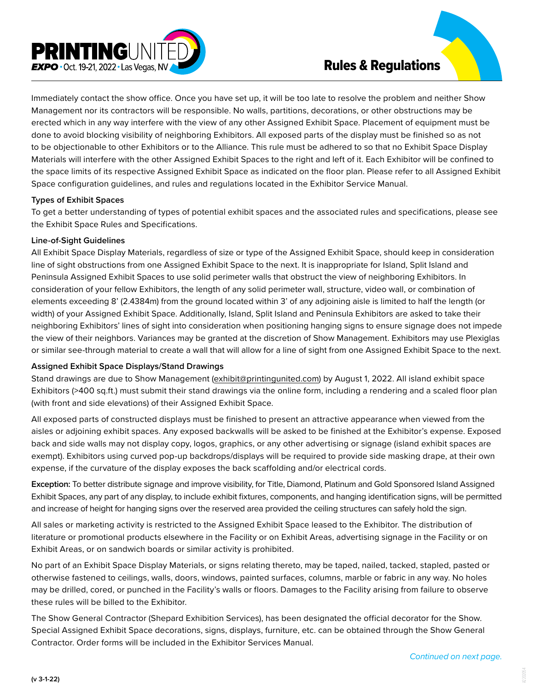

Immediately contact the show office. Once you have set up, it will be too late to resolve the problem and neither Show Management nor its contractors will be responsible. No walls, partitions, decorations, or other obstructions may be erected which in any way interfere with the view of any other Assigned Exhibit Space. Placement of equipment must be done to avoid blocking visibility of neighboring Exhibitors. All exposed parts of the display must be finished so as not to be objectionable to other Exhibitors or to the Alliance. This rule must be adhered to so that no Exhibit Space Display Materials will interfere with the other Assigned Exhibit Spaces to the right and left of it. Each Exhibitor will be confined to the space limits of its respective Assigned Exhibit Space as indicated on the floor plan. Please refer to all Assigned Exhibit Space configuration guidelines, and rules and regulations located in the Exhibitor Service Manual.

#### **Types of Exhibit Spaces**

To get a better understanding of types of potential exhibit spaces and the associated rules and specifications, please see the Exhibit Space Rules and Specifications.

#### **Line-of-Sight Guidelines**

All Exhibit Space Display Materials, regardless of size or type of the Assigned Exhibit Space, should keep in consideration line of sight obstructions from one Assigned Exhibit Space to the next. It is inappropriate for Island, Split Island and Peninsula Assigned Exhibit Spaces to use solid perimeter walls that obstruct the view of neighboring Exhibitors. In consideration of your fellow Exhibitors, the length of any solid perimeter wall, structure, video wall, or combination of elements exceeding 8' (2.4384m) from the ground located within 3' of any adjoining aisle is limited to half the length (or width) of your Assigned Exhibit Space. Additionally, Island, Split Island and Peninsula Exhibitors are asked to take their neighboring Exhibitors' lines of sight into consideration when positioning hanging signs to ensure signage does not impede the view of their neighbors. Variances may be granted at the discretion of Show Management. Exhibitors may use Plexiglas or similar see-through material to create a wall that will allow for a line of sight from one Assigned Exhibit Space to the next.

#### **Assigned Exhibit Space Displays/Stand Drawings**

Stand drawings are due to Show Management (exhibit@printingunited.com) by August 1, 2022. All island exhibit space Exhibitors (>400 sq.ft.) must submit their stand drawings via the online form, including a rendering and a scaled floor plan (with front and side elevations) of their Assigned Exhibit Space.

All exposed parts of constructed displays must be finished to present an attractive appearance when viewed from the aisles or adjoining exhibit spaces. Any exposed backwalls will be asked to be finished at the Exhibitor's expense. Exposed back and side walls may not display copy, logos, graphics, or any other advertising or signage (island exhibit spaces are exempt). Exhibitors using curved pop-up backdrops/displays will be required to provide side masking drape, at their own expense, if the curvature of the display exposes the back scaffolding and/or electrical cords.

**Exception:** To better distribute signage and improve visibility, for Title, Diamond, Platinum and Gold Sponsored Island Assigned Exhibit Spaces, any part of any display, to include exhibit fixtures, components, and hanging identification signs, will be permitted and increase of height for hanging signs over the reserved area provided the ceiling structures can safely hold the sign.

All sales or marketing activity is restricted to the Assigned Exhibit Space leased to the Exhibitor. The distribution of literature or promotional products elsewhere in the Facility or on Exhibit Areas, advertising signage in the Facility or on Exhibit Areas, or on sandwich boards or similar activity is prohibited.

No part of an Exhibit Space Display Materials, or signs relating thereto, may be taped, nailed, tacked, stapled, pasted or otherwise fastened to ceilings, walls, doors, windows, painted surfaces, columns, marble or fabric in any way. No holes may be drilled, cored, or punched in the Facility's walls or floors. Damages to the Facility arising from failure to observe these rules will be billed to the Exhibitor.

The Show General Contractor (Shepard Exhibition Services), has been designated the official decorator for the Show. Special Assigned Exhibit Space decorations, signs, displays, furniture, etc. can be obtained through the Show General Contractor. Order forms will be included in the Exhibitor Services Manual.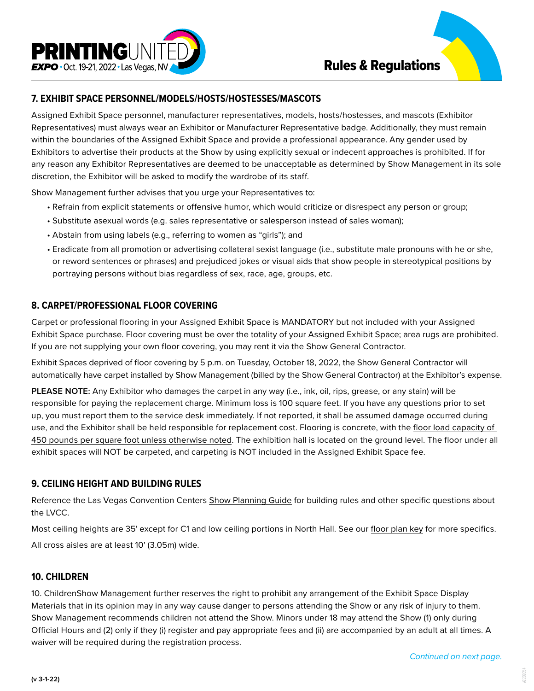

## **7. EXHIBIT SPACE PERSONNEL/MODELS/HOSTS/HOSTESSES/MASCOTS**

Assigned Exhibit Space personnel, manufacturer representatives, models, hosts/hostesses, and mascots (Exhibitor Representatives) must always wear an Exhibitor or Manufacturer Representative badge. Additionally, they must remain within the boundaries of the Assigned Exhibit Space and provide a professional appearance. Any gender used by Exhibitors to advertise their products at the Show by using explicitly sexual or indecent approaches is prohibited. If for any reason any Exhibitor Representatives are deemed to be unacceptable as determined by Show Management in its sole discretion, the Exhibitor will be asked to modify the wardrobe of its staff.

Show Management further advises that you urge your Representatives to:

- Refrain from explicit statements or offensive humor, which would criticize or disrespect any person or group;
- Substitute asexual words (e.g. sales representative or salesperson instead of sales woman);
- Abstain from using labels (e.g., referring to women as "girls"); and
- Eradicate from all promotion or advertising collateral sexist language (i.e., substitute male pronouns with he or she, or reword sentences or phrases) and prejudiced jokes or visual aids that show people in stereotypical positions by portraying persons without bias regardless of sex, race, age, groups, etc.

## **8. CARPET/PROFESSIONAL FLOOR COVERING**

Carpet or professional flooring in your Assigned Exhibit Space is MANDATORY but not included with your Assigned Exhibit Space purchase. Floor covering must be over the totality of your Assigned Exhibit Space; area rugs are prohibited. If you are not supplying your own floor covering, you may rent it via the Show General Contractor.

Exhibit Spaces deprived of floor covering by 5 p.m. on Tuesday, October 18, 2022, the Show General Contractor will automatically have carpet installed by Show Management (billed by the Show General Contractor) at the Exhibitor's expense.

**PLEASE NOTE:** Any Exhibitor who damages the carpet in any way (i.e., ink, oil, rips, grease, or any stain) will be responsible for paying the replacement charge. Minimum loss is 100 square feet. If you have any questions prior to set up, you must report them to the service desk immediately. If not reported, it shall be assumed damage occurred during use, and the Exhibitor shall be held responsible for replacement cost. Flooring is concrete, with the floor load capacity of [450 pounds per square foot unless otherwise noted.](https://www.printingunited.com/wp-content/uploads/2022/06/A2206002-PrUE_Floor_Plan_Key.pdf) The exhibition hall is located on the ground level. The floor under all exhibit spaces will NOT be carpeted, and carpeting is NOT included in the Assigned Exhibit Space fee.

## **9. CEILING HEIGHT AND BUILDING RULES**

Reference the Las Vegas Convention Centers [Show Planning Guide](https://assets.simpleviewcms.com/simpleview/image/upload/v1/clients/lasvegas/122316_01_LVCVA_21_LVCC_BrochureUpdate_05_2021sm_4a38349a-f222-4002-88c7-f1989522ecab.pdf) for building rules and other specific questions about the LVCC.

Most ceiling heights are 35' except for C1 and low ceiling portions in North Hall. See our [floor plan key](https://www.printingunited.com/wp-content/uploads/2022/06/A2206002-PrUE_Floor_Plan_Key.pdf) for more specifics. All cross aisles are at least 10' (3.05m) wide.

## **10. CHILDREN**

10. ChildrenShow Management further reserves the right to prohibit any arrangement of the Exhibit Space Display Materials that in its opinion may in any way cause danger to persons attending the Show or any risk of injury to them. Show Management recommends children not attend the Show. Minors under 18 may attend the Show (1) only during Official Hours and (2) only if they (i) register and pay appropriate fees and (ii) are accompanied by an adult at all times. A waiver will be required during the registration process.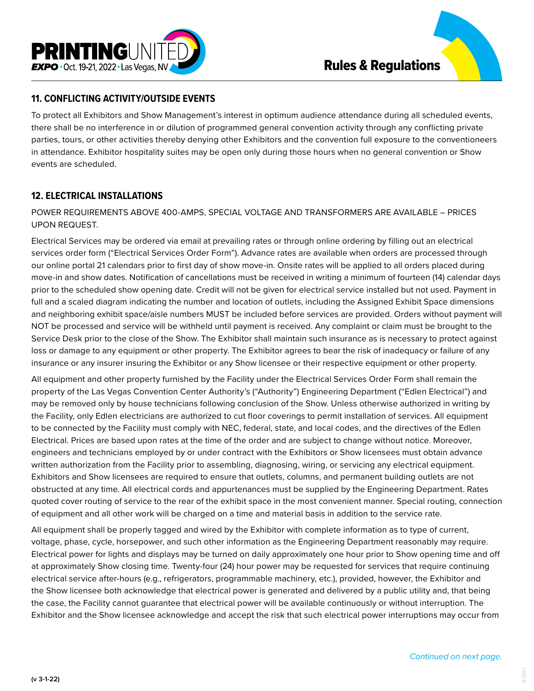



To protect all Exhibitors and Show Management's interest in optimum audience attendance during all scheduled events, there shall be no interference in or dilution of programmed general convention activity through any conflicting private parties, tours, or other activities thereby denying other Exhibitors and the convention full exposure to the conventioneers in attendance. Exhibitor hospitality suites may be open only during those hours when no general convention or Show events are scheduled.

# **12. ELECTRICAL INSTALLATIONS**

POWER REQUIREMENTS ABOVE 400-AMPS, SPECIAL VOLTAGE AND TRANSFORMERS ARE AVAILABLE – PRICES UPON REQUEST.

Electrical Services may be ordered via email at prevailing rates or through online ordering by filling out an electrical services order form ("Electrical Services Order Form"). Advance rates are available when orders are processed through our online portal 21 calendars prior to first day of show move-in. Onsite rates will be applied to all orders placed during move-in and show dates. Notification of cancellations must be received in writing a minimum of fourteen (14) calendar days prior to the scheduled show opening date. Credit will not be given for electrical service installed but not used. Payment in full and a scaled diagram indicating the number and location of outlets, including the Assigned Exhibit Space dimensions and neighboring exhibit space/aisle numbers MUST be included before services are provided. Orders without payment will NOT be processed and service will be withheld until payment is received. Any complaint or claim must be brought to the Service Desk prior to the close of the Show. The Exhibitor shall maintain such insurance as is necessary to protect against loss or damage to any equipment or other property. The Exhibitor agrees to bear the risk of inadequacy or failure of any insurance or any insurer insuring the Exhibitor or any Show licensee or their respective equipment or other property.

All equipment and other property furnished by the Facility under the Electrical Services Order Form shall remain the property of the Las Vegas Convention Center Authority's ("Authority") Engineering Department ("Edlen Electrical") and may be removed only by house technicians following conclusion of the Show. Unless otherwise authorized in writing by the Facility, only Edlen electricians are authorized to cut floor coverings to permit installation of services. All equipment to be connected by the Facility must comply with NEC, federal, state, and local codes, and the directives of the Edlen Electrical. Prices are based upon rates at the time of the order and are subject to change without notice. Moreover, engineers and technicians employed by or under contract with the Exhibitors or Show licensees must obtain advance written authorization from the Facility prior to assembling, diagnosing, wiring, or servicing any electrical equipment. Exhibitors and Show licensees are required to ensure that outlets, columns, and permanent building outlets are not obstructed at any time. All electrical cords and appurtenances must be supplied by the Engineering Department. Rates quoted cover routing of service to the rear of the exhibit space in the most convenient manner. Special routing, connection of equipment and all other work will be charged on a time and material basis in addition to the service rate.

All equipment shall be properly tagged and wired by the Exhibitor with complete information as to type of current, voltage, phase, cycle, horsepower, and such other information as the Engineering Department reasonably may require. Electrical power for lights and displays may be turned on daily approximately one hour prior to Show opening time and off at approximately Show closing time. Twenty-four (24) hour power may be requested for services that require continuing electrical service after-hours (e.g., refrigerators, programmable machinery, etc.), provided, however, the Exhibitor and the Show licensee both acknowledge that electrical power is generated and delivered by a public utility and, that being the case, the Facility cannot guarantee that electrical power will be available continuously or without interruption. The Exhibitor and the Show licensee acknowledge and accept the risk that such electrical power interruptions may occur from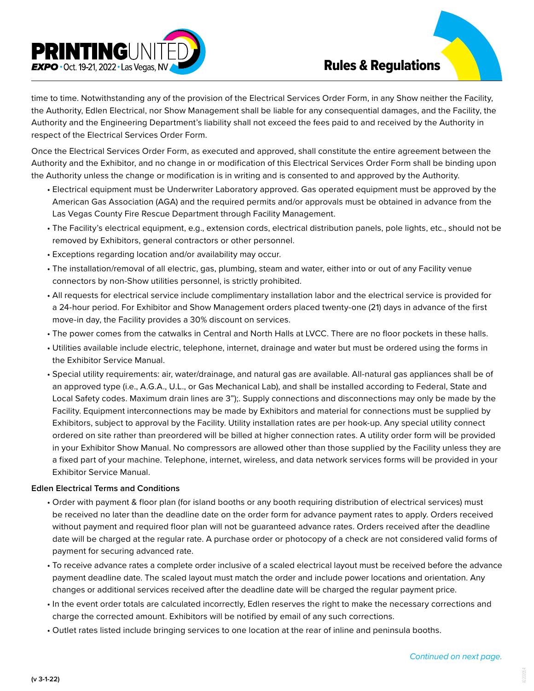

time to time. Notwithstanding any of the provision of the Electrical Services Order Form, in any Show neither the Facility, the Authority, Edlen Electrical, nor Show Management shall be liable for any consequential damages, and the Facility, the Authority and the Engineering Department's liability shall not exceed the fees paid to and received by the Authority in respect of the Electrical Services Order Form.

Once the Electrical Services Order Form, as executed and approved, shall constitute the entire agreement between the Authority and the Exhibitor, and no change in or modification of this Electrical Services Order Form shall be binding upon the Authority unless the change or modification is in writing and is consented to and approved by the Authority.

- Electrical equipment must be Underwriter Laboratory approved. Gas operated equipment must be approved by the American Gas Association (AGA) and the required permits and/or approvals must be obtained in advance from the Las Vegas County Fire Rescue Department through Facility Management.
- The Facility's electrical equipment, e.g., extension cords, electrical distribution panels, pole lights, etc., should not be removed by Exhibitors, general contractors or other personnel.
- Exceptions regarding location and/or availability may occur.
- The installation/removal of all electric, gas, plumbing, steam and water, either into or out of any Facility venue connectors by non-Show utilities personnel, is strictly prohibited.
- All requests for electrical service include complimentary installation labor and the electrical service is provided for a 24-hour period. For Exhibitor and Show Management orders placed twenty-one (21) days in advance of the first move-in day, the Facility provides a 30% discount on services.
- The power comes from the catwalks in Central and North Halls at LVCC. There are no floor pockets in these halls.
- Utilities available include electric, telephone, internet, drainage and water but must be ordered using the forms in the Exhibitor Service Manual.
- Special utility requirements: air, water/drainage, and natural gas are available. All-natural gas appliances shall be of an approved type (i.e., A.G.A., U.L., or Gas Mechanical Lab), and shall be installed according to Federal, State and Local Safety codes. Maximum drain lines are 3");. Supply connections and disconnections may only be made by the Facility. Equipment interconnections may be made by Exhibitors and material for connections must be supplied by Exhibitors, subject to approval by the Facility. Utility installation rates are per hook-up. Any special utility connect ordered on site rather than preordered will be billed at higher connection rates. A utility order form will be provided in your Exhibitor Show Manual. No compressors are allowed other than those supplied by the Facility unless they are a fixed part of your machine. Telephone, internet, wireless, and data network services forms will be provided in your Exhibitor Service Manual.

#### **Edlen Electrical Terms and Conditions**

- Order with payment & floor plan (for island booths or any booth requiring distribution of electrical services) must be received no later than the deadline date on the order form for advance payment rates to apply. Orders received without payment and required floor plan will not be guaranteed advance rates. Orders received after the deadline date will be charged at the regular rate. A purchase order or photocopy of a check are not considered valid forms of payment for securing advanced rate.
- To receive advance rates a complete order inclusive of a scaled electrical layout must be received before the advance payment deadline date. The scaled layout must match the order and include power locations and orientation. Any changes or additional services received after the deadline date will be charged the regular payment price.
- In the event order totals are calculated incorrectly, Edlen reserves the right to make the necessary corrections and charge the corrected amount. Exhibitors will be notified by email of any such corrections.
- Outlet rates listed include bringing services to one location at the rear of inline and peninsula booths.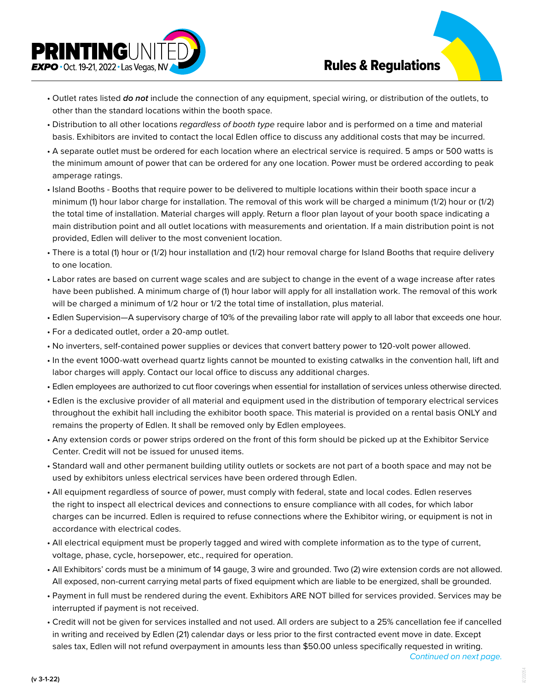

- Outlet rates listed *do not* include the connection of any equipment, special wiring, or distribution of the outlets, to other than the standard locations within the booth space.
- Distribution to all other locations *regardless of booth type* require labor and is performed on a time and material basis. Exhibitors are invited to contact the local Edlen office to discuss any additional costs that may be incurred.
- A separate outlet must be ordered for each location where an electrical service is required. 5 amps or 500 watts is the minimum amount of power that can be ordered for any one location. Power must be ordered according to peak amperage ratings.
- Island Booths Booths that require power to be delivered to multiple locations within their booth space incur a minimum (1) hour labor charge for installation. The removal of this work will be charged a minimum (1/2) hour or (1/2) the total time of installation. Material charges will apply. Return a floor plan layout of your booth space indicating a main distribution point and all outlet locations with measurements and orientation. If a main distribution point is not provided, Edlen will deliver to the most convenient location.
- There is a total (1) hour or (1/2) hour installation and (1/2) hour removal charge for Island Booths that require delivery to one location.
- Labor rates are based on current wage scales and are subject to change in the event of a wage increase after rates have been published. A minimum charge of (1) hour labor will apply for all installation work. The removal of this work will be charged a minimum of 1/2 hour or 1/2 the total time of installation, plus material.
- Edlen Supervision—A supervisory charge of 10% of the prevailing labor rate will apply to all labor that exceeds one hour.
- For a dedicated outlet, order a 20-amp outlet.
- No inverters, self-contained power supplies or devices that convert battery power to 120-volt power allowed.
- In the event 1000-watt overhead quartz lights cannot be mounted to existing catwalks in the convention hall, lift and labor charges will apply. Contact our local office to discuss any additional charges.
- Edlen employees are authorized to cut floor coverings when essential for installation of services unless otherwise directed.
- Edlen is the exclusive provider of all material and equipment used in the distribution of temporary electrical services throughout the exhibit hall including the exhibitor booth space. This material is provided on a rental basis ONLY and remains the property of Edlen. It shall be removed only by Edlen employees.
- Any extension cords or power strips ordered on the front of this form should be picked up at the Exhibitor Service Center. Credit will not be issued for unused items.
- Standard wall and other permanent building utility outlets or sockets are not part of a booth space and may not be used by exhibitors unless electrical services have been ordered through Edlen.
- All equipment regardless of source of power, must comply with federal, state and local codes. Edlen reserves the right to inspect all electrical devices and connections to ensure compliance with all codes, for which labor charges can be incurred. Edlen is required to refuse connections where the Exhibitor wiring, or equipment is not in accordance with electrical codes.
- All electrical equipment must be properly tagged and wired with complete information as to the type of current, voltage, phase, cycle, horsepower, etc., required for operation.
- All Exhibitors' cords must be a minimum of 14 gauge, 3 wire and grounded. Two (2) wire extension cords are not allowed. All exposed, non-current carrying metal parts of fixed equipment which are liable to be energized, shall be grounded.
- Payment in full must be rendered during the event. Exhibitors ARE NOT billed for services provided. Services may be interrupted if payment is not received.
- Credit will not be given for services installed and not used. All orders are subject to a 25% cancellation fee if cancelled in writing and received by Edlen (21) calendar days or less prior to the first contracted event move in date. Except sales tax, Edlen will not refund overpayment in amounts less than \$50.00 unless specifically requested in writing.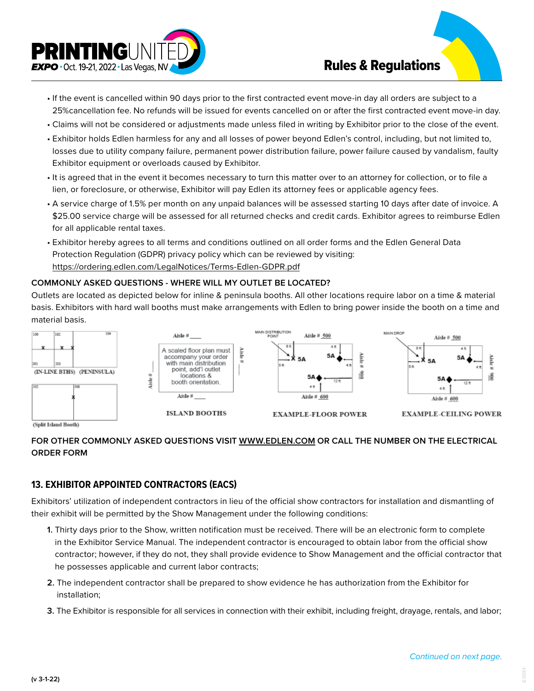

- If the event is cancelled within 90 days prior to the first contracted event move-in day all orders are subject to a 25%cancellation fee. No refunds will be issued for events cancelled on or after the first contracted event move-in day.
- Claims will not be considered or adjustments made unless filed in writing by Exhibitor prior to the close of the event.
- Exhibitor holds Edlen harmless for any and all losses of power beyond Edlen's control, including, but not limited to, losses due to utility company failure, permanent power distribution failure, power failure caused by vandalism, faulty Exhibitor equipment or overloads caused by Exhibitor.
- It is agreed that in the event it becomes necessary to turn this matter over to an attorney for collection, or to file a lien, or foreclosure, or otherwise, Exhibitor will pay Edlen its attorney fees or applicable agency fees.
- A service charge of 1.5% per month on any unpaid balances will be assessed starting 10 days after date of invoice. A \$25.00 service charge will be assessed for all returned checks and credit cards. Exhibitor agrees to reimburse Edlen for all applicable rental taxes.
- Exhibitor hereby agrees to all terms and conditions outlined on all order forms and the Edlen General Data Protection Regulation (GDPR) privacy policy which can be reviewed by visiting: <https://ordering.edlen.com/LegalNotices/Terms-Edlen-GDPR.pdf>

### **COMMONLY ASKED QUESTIONS - WHERE WILL MY OUTLET BE LOCATED?**

Outlets are located as depicted below for inline & peninsula booths. All other locations require labor on a time & material basis. Exhibitors with hard wall booths must make arrangements with Edlen to bring power inside the booth on a time and material basis.



## **FOR OTHER COMMONLY ASKED QUESTIONS VISIT [WWW.EDLEN.COM](https://edlen.com/) OR CALL THE NUMBER ON THE ELECTRICAL ORDER FORM**

# **13. EXHIBITOR APPOINTED CONTRACTORS (EACS)**

Exhibitors' utilization of independent contractors in lieu of the official show contractors for installation and dismantling of their exhibit will be permitted by the Show Management under the following conditions:

- **1.** Thirty days prior to the Show, written notification must be received. There will be an electronic form to complete in the Exhibitor Service Manual. The independent contractor is encouraged to obtain labor from the official show contractor; however, if they do not, they shall provide evidence to Show Management and the official contractor that he possesses applicable and current labor contracts;
- **2.** The independent contractor shall be prepared to show evidence he has authorization from the Exhibitor for installation;
- **3.** The Exhibitor is responsible for all services in connection with their exhibit, including freight, drayage, rentals, and labor;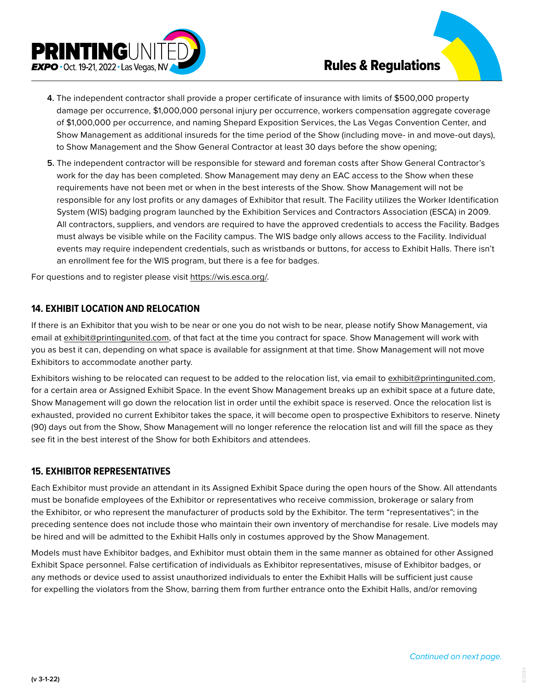

- **4.** The independent contractor shall provide a proper certificate of insurance with limits of \$500,000 property damage per occurrence, \$1,000,000 personal injury per occurrence, workers compensation aggregate coverage of \$1,000,000 per occurrence, and naming Shepard Exposition Services, the Las Vegas Convention Center, and Show Management as additional insureds for the time period of the Show (including move- in and move-out days), to Show Management and the Show General Contractor at least 30 days before the show opening;
- **5.** The independent contractor will be responsible for steward and foreman costs after Show General Contractor's work for the day has been completed. Show Management may deny an EAC access to the Show when these requirements have not been met or when in the best interests of the Show. Show Management will not be responsible for any lost profits or any damages of Exhibitor that result. The Facility utilizes the Worker Identification System (WIS) badging program launched by the Exhibition Services and Contractors Association (ESCA) in 2009. All contractors, suppliers, and vendors are required to have the approved credentials to access the Facility. Badges must always be visible while on the Facility campus. The WIS badge only allows access to the Facility. Individual events may require independent credentials, such as wristbands or buttons, for access to Exhibit Halls. There isn't an enrollment fee for the WIS program, but there is a fee for badges.

For questions and to register please visit<https://wis.esca.org/>.

### **14. EXHIBIT LOCATION AND RELOCATION**

If there is an Exhibitor that you wish to be near or one you do not wish to be near, please notify Show Management, via email at exhibit@printingunited.com, of that fact at the time you contract for space. Show Management will work with you as best it can, depending on what space is available for assignment at that time. Show Management will not move Exhibitors to accommodate another party.

Exhibitors wishing to be relocated can request to be added to the relocation list, via email to exhibit@printingunited.com, for a certain area or Assigned Exhibit Space. In the event Show Management breaks up an exhibit space at a future date, Show Management will go down the relocation list in order until the exhibit space is reserved. Once the relocation list is exhausted, provided no current Exhibitor takes the space, it will become open to prospective Exhibitors to reserve. Ninety (90) days out from the Show, Show Management will no longer reference the relocation list and will fill the space as they see fit in the best interest of the Show for both Exhibitors and attendees.

### **15. EXHIBITOR REPRESENTATIVES**

Each Exhibitor must provide an attendant in its Assigned Exhibit Space during the open hours of the Show. All attendants must be bonafide employees of the Exhibitor or representatives who receive commission, brokerage or salary from the Exhibitor, or who represent the manufacturer of products sold by the Exhibitor. The term "representatives"; in the preceding sentence does not include those who maintain their own inventory of merchandise for resale. Live models may be hired and will be admitted to the Exhibit Halls only in costumes approved by the Show Management.

Models must have Exhibitor badges, and Exhibitor must obtain them in the same manner as obtained for other Assigned Exhibit Space personnel. False certification of individuals as Exhibitor representatives, misuse of Exhibitor badges, or any methods or device used to assist unauthorized individuals to enter the Exhibit Halls will be sufficient just cause for expelling the violators from the Show, barring them from further entrance onto the Exhibit Halls, and/or removing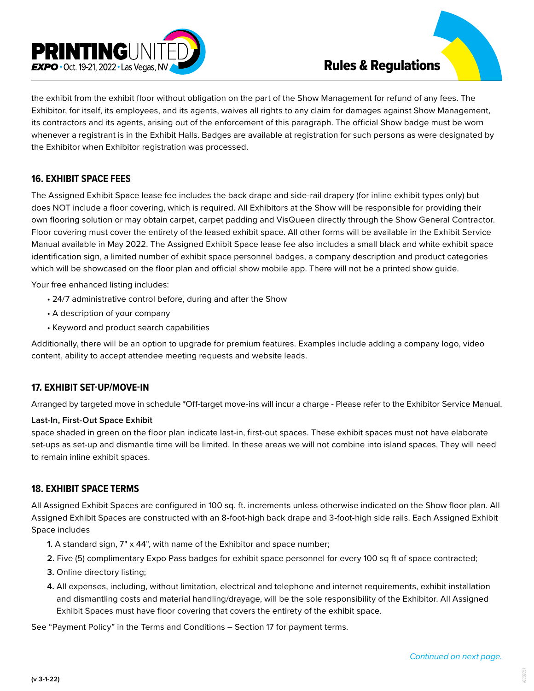



## **16. EXHIBIT SPACE FEES**

The Assigned Exhibit Space lease fee includes the back drape and side-rail drapery (for inline exhibit types only) but does NOT include a floor covering, which is required. All Exhibitors at the Show will be responsible for providing their own flooring solution or may obtain carpet, carpet padding and VisQueen directly through the Show General Contractor. Floor covering must cover the entirety of the leased exhibit space. All other forms will be available in the Exhibit Service Manual available in May 2022. The Assigned Exhibit Space lease fee also includes a small black and white exhibit space identification sign, a limited number of exhibit space personnel badges, a company description and product categories which will be showcased on the floor plan and official show mobile app. There will not be a printed show guide.

Your free enhanced listing includes:

- 24/7 administrative control before, during and after the Show
- A description of your company
- Keyword and product search capabilities

Additionally, there will be an option to upgrade for premium features. Examples include adding a company logo, video content, ability to accept attendee meeting requests and website leads.

### **17. EXHIBIT SET-UP/MOVE-IN**

Arranged by targeted move in schedule \*Off-target move-ins will incur a charge - Please refer to the Exhibitor Service Manual.

#### **Last-In, First-Out Space Exhibit**

space shaded in green on the floor plan indicate last-in, first-out spaces. These exhibit spaces must not have elaborate set-ups as set-up and dismantle time will be limited. In these areas we will not combine into island spaces. They will need to remain inline exhibit spaces.

### **18. EXHIBIT SPACE TERMS**

All Assigned Exhibit Spaces are configured in 100 sq. ft. increments unless otherwise indicated on the Show floor plan. All Assigned Exhibit Spaces are constructed with an 8-foot-high back drape and 3-foot-high side rails. Each Assigned Exhibit Space includes

- **1.** A standard sign, 7" x 44", with name of the Exhibitor and space number;
- **2.** Five (5) complimentary Expo Pass badges for exhibit space personnel for every 100 sq ft of space contracted;
- **3.** Online directory listing;
- **4.** All expenses, including, without limitation, electrical and telephone and internet requirements, exhibit installation and dismantling costs and material handling/drayage, will be the sole responsibility of the Exhibitor. All Assigned Exhibit Spaces must have floor covering that covers the entirety of the exhibit space.

See "Payment Policy" in the Terms and Conditions – Section 17 for payment terms.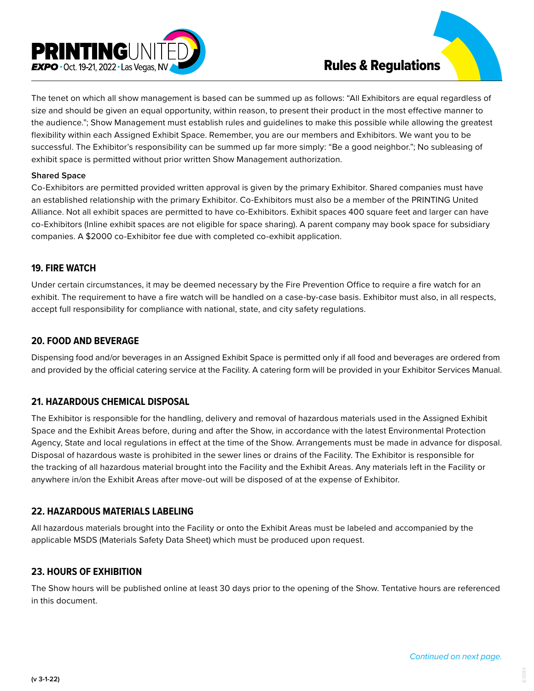



#### **Shared Space**

Co-Exhibitors are permitted provided written approval is given by the primary Exhibitor. Shared companies must have an established relationship with the primary Exhibitor. Co-Exhibitors must also be a member of the PRINTING United Alliance. Not all exhibit spaces are permitted to have co-Exhibitors. Exhibit spaces 400 square feet and larger can have co-Exhibitors (Inline exhibit spaces are not eligible for space sharing). A parent company may book space for subsidiary companies. A \$2000 co-Exhibitor fee due with completed co-exhibit application.

#### **19. FIRE WATCH**

Under certain circumstances, it may be deemed necessary by the Fire Prevention Office to require a fire watch for an exhibit. The requirement to have a fire watch will be handled on a case-by-case basis. Exhibitor must also, in all respects, accept full responsibility for compliance with national, state, and city safety regulations.

#### **20. FOOD AND BEVERAGE**

Dispensing food and/or beverages in an Assigned Exhibit Space is permitted only if all food and beverages are ordered from and provided by the official catering service at the Facility. A catering form will be provided in your Exhibitor Services Manual.

### **21. HAZARDOUS CHEMICAL DISPOSAL**

The Exhibitor is responsible for the handling, delivery and removal of hazardous materials used in the Assigned Exhibit Space and the Exhibit Areas before, during and after the Show, in accordance with the latest Environmental Protection Agency, State and local regulations in effect at the time of the Show. Arrangements must be made in advance for disposal. Disposal of hazardous waste is prohibited in the sewer lines or drains of the Facility. The Exhibitor is responsible for the tracking of all hazardous material brought into the Facility and the Exhibit Areas. Any materials left in the Facility or anywhere in/on the Exhibit Areas after move-out will be disposed of at the expense of Exhibitor.

### **22. HAZARDOUS MATERIALS LABELING**

All hazardous materials brought into the Facility or onto the Exhibit Areas must be labeled and accompanied by the applicable MSDS (Materials Safety Data Sheet) which must be produced upon request.

#### **23. HOURS OF EXHIBITION**

The Show hours will be published online at least 30 days prior to the opening of the Show. Tentative hours are referenced in this document.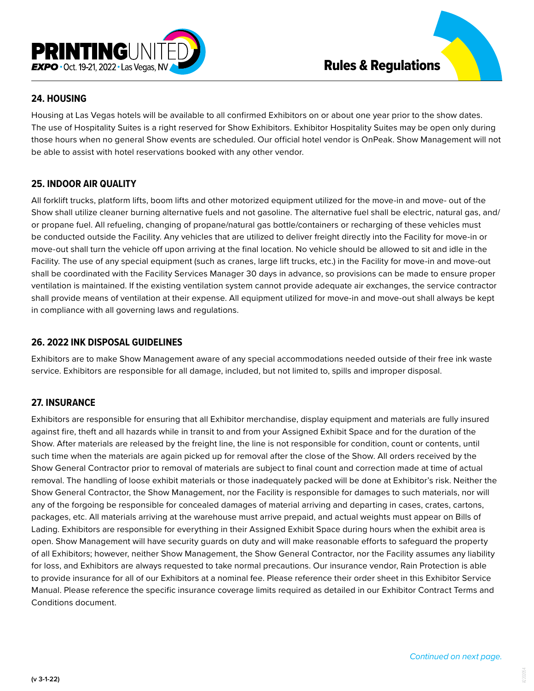

# **24. HOUSING**

Housing at Las Vegas hotels will be available to all confirmed Exhibitors on or about one year prior to the show dates. The use of Hospitality Suites is a right reserved for Show Exhibitors. Exhibitor Hospitality Suites may be open only during those hours when no general Show events are scheduled. Our official hotel vendor is OnPeak. Show Management will not be able to assist with hotel reservations booked with any other vendor.

# **25. INDOOR AIR QUALITY**

All forklift trucks, platform lifts, boom lifts and other motorized equipment utilized for the move-in and move- out of the Show shall utilize cleaner burning alternative fuels and not gasoline. The alternative fuel shall be electric, natural gas, and/ or propane fuel. All refueling, changing of propane/natural gas bottle/containers or recharging of these vehicles must be conducted outside the Facility. Any vehicles that are utilized to deliver freight directly into the Facility for move-in or move-out shall turn the vehicle off upon arriving at the final location. No vehicle should be allowed to sit and idle in the Facility. The use of any special equipment (such as cranes, large lift trucks, etc.) in the Facility for move-in and move-out shall be coordinated with the Facility Services Manager 30 days in advance, so provisions can be made to ensure proper ventilation is maintained. If the existing ventilation system cannot provide adequate air exchanges, the service contractor shall provide means of ventilation at their expense. All equipment utilized for move-in and move-out shall always be kept in compliance with all governing laws and regulations.

## **26. 2022 INK DISPOSAL GUIDELINES**

Exhibitors are to make Show Management aware of any special accommodations needed outside of their free ink waste service. Exhibitors are responsible for all damage, included, but not limited to, spills and improper disposal.

# **27. INSURANCE**

Exhibitors are responsible for ensuring that all Exhibitor merchandise, display equipment and materials are fully insured against fire, theft and all hazards while in transit to and from your Assigned Exhibit Space and for the duration of the Show. After materials are released by the freight line, the line is not responsible for condition, count or contents, until such time when the materials are again picked up for removal after the close of the Show. All orders received by the Show General Contractor prior to removal of materials are subject to final count and correction made at time of actual removal. The handling of loose exhibit materials or those inadequately packed will be done at Exhibitor's risk. Neither the Show General Contractor, the Show Management, nor the Facility is responsible for damages to such materials, nor will any of the forgoing be responsible for concealed damages of material arriving and departing in cases, crates, cartons, packages, etc. All materials arriving at the warehouse must arrive prepaid, and actual weights must appear on Bills of Lading. Exhibitors are responsible for everything in their Assigned Exhibit Space during hours when the exhibit area is open. Show Management will have security guards on duty and will make reasonable efforts to safeguard the property of all Exhibitors; however, neither Show Management, the Show General Contractor, nor the Facility assumes any liability for loss, and Exhibitors are always requested to take normal precautions. Our insurance vendor, Rain Protection is able to provide insurance for all of our Exhibitors at a nominal fee. Please reference their order sheet in this Exhibitor Service Manual. Please reference the specific insurance coverage limits required as detailed in our Exhibitor Contract Terms and Conditions document.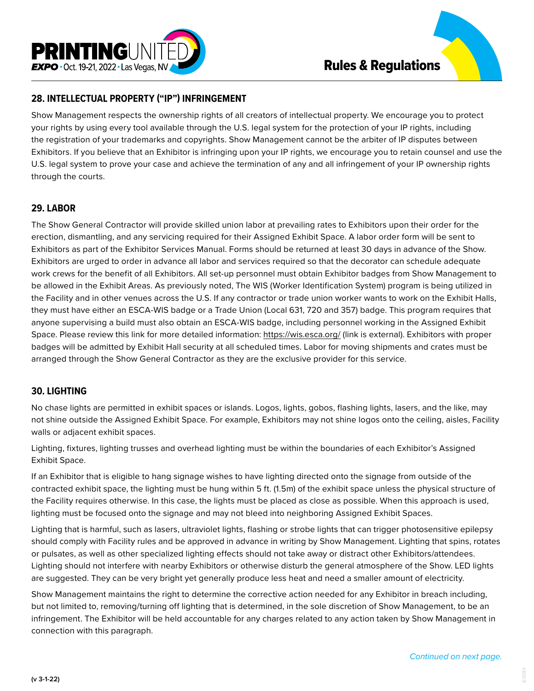



## **28. INTELLECTUAL PROPERTY ("IP") INFRINGEMENT**

Show Management respects the ownership rights of all creators of intellectual property. We encourage you to protect your rights by using every tool available through the U.S. legal system for the protection of your IP rights, including the registration of your trademarks and copyrights. Show Management cannot be the arbiter of IP disputes between Exhibitors. If you believe that an Exhibitor is infringing upon your IP rights, we encourage you to retain counsel and use the U.S. legal system to prove your case and achieve the termination of any and all infringement of your IP ownership rights through the courts.

### **29. LABOR**

The Show General Contractor will provide skilled union labor at prevailing rates to Exhibitors upon their order for the erection, dismantling, and any servicing required for their Assigned Exhibit Space. A labor order form will be sent to Exhibitors as part of the Exhibitor Services Manual. Forms should be returned at least 30 days in advance of the Show. Exhibitors are urged to order in advance all labor and services required so that the decorator can schedule adequate work crews for the benefit of all Exhibitors. All set-up personnel must obtain Exhibitor badges from Show Management to be allowed in the Exhibit Areas. As previously noted, The WIS (Worker Identification System) program is being utilized in the Facility and in other venues across the U.S. If any contractor or trade union worker wants to work on the Exhibit Halls, they must have either an ESCA-WIS badge or a Trade Union (Local 631, 720 and 357) badge. This program requires that anyone supervising a build must also obtain an ESCA-WIS badge, including personnel working in the Assigned Exhibit Space. Please review this link for more detailed information:<https://wis.esca.org/>(link is external). Exhibitors with proper badges will be admitted by Exhibit Hall security at all scheduled times. Labor for moving shipments and crates must be arranged through the Show General Contractor as they are the exclusive provider for this service.

## **30. LIGHTING**

No chase lights are permitted in exhibit spaces or islands. Logos, lights, gobos, flashing lights, lasers, and the like, may not shine outside the Assigned Exhibit Space. For example, Exhibitors may not shine logos onto the ceiling, aisles, Facility walls or adjacent exhibit spaces.

Lighting, fixtures, lighting trusses and overhead lighting must be within the boundaries of each Exhibitor's Assigned Exhibit Space.

If an Exhibitor that is eligible to hang signage wishes to have lighting directed onto the signage from outside of the contracted exhibit space, the lighting must be hung within 5 ft. (1.5m) of the exhibit space unless the physical structure of the Facility requires otherwise. In this case, the lights must be placed as close as possible. When this approach is used, lighting must be focused onto the signage and may not bleed into neighboring Assigned Exhibit Spaces.

Lighting that is harmful, such as lasers, ultraviolet lights, flashing or strobe lights that can trigger photosensitive epilepsy should comply with Facility rules and be approved in advance in writing by Show Management. Lighting that spins, rotates or pulsates, as well as other specialized lighting effects should not take away or distract other Exhibitors/attendees. Lighting should not interfere with nearby Exhibitors or otherwise disturb the general atmosphere of the Show. LED lights are suggested. They can be very bright yet generally produce less heat and need a smaller amount of electricity.

Show Management maintains the right to determine the corrective action needed for any Exhibitor in breach including, but not limited to, removing/turning off lighting that is determined, in the sole discretion of Show Management, to be an infringement. The Exhibitor will be held accountable for any charges related to any action taken by Show Management in connection with this paragraph.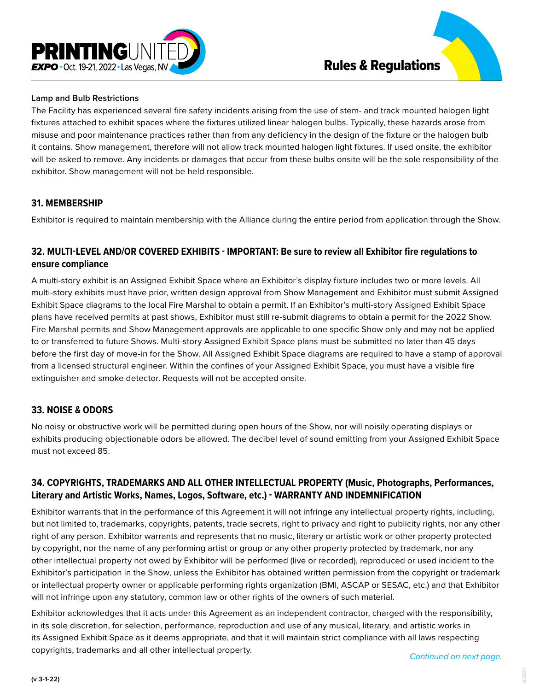

#### **Lamp and Bulb Restrictions**

The Facility has experienced several fire safety incidents arising from the use of stem- and track mounted halogen light fixtures attached to exhibit spaces where the fixtures utilized linear halogen bulbs. Typically, these hazards arose from misuse and poor maintenance practices rather than from any deficiency in the design of the fixture or the halogen bulb it contains. Show management, therefore will not allow track mounted halogen light fixtures. If used onsite, the exhibitor will be asked to remove. Any incidents or damages that occur from these bulbs onsite will be the sole responsibility of the exhibitor. Show management will not be held responsible.

#### **31. MEMBERSHIP**

Exhibitor is required to maintain membership with the Alliance during the entire period from application through the Show.

## **32. MULTI-LEVEL AND/OR COVERED EXHIBITS - IMPORTANT: Be sure to review all Exhibitor fire regulations to ensure compliance**

A multi-story exhibit is an Assigned Exhibit Space where an Exhibitor's display fixture includes two or more levels. All multi-story exhibits must have prior, written design approval from Show Management and Exhibitor must submit Assigned Exhibit Space diagrams to the local Fire Marshal to obtain a permit. If an Exhibitor's multi-story Assigned Exhibit Space plans have received permits at past shows, Exhibitor must still re-submit diagrams to obtain a permit for the 2022 Show. Fire Marshal permits and Show Management approvals are applicable to one specific Show only and may not be applied to or transferred to future Shows. Multi-story Assigned Exhibit Space plans must be submitted no later than 45 days before the first day of move-in for the Show. All Assigned Exhibit Space diagrams are required to have a stamp of approval from a licensed structural engineer. Within the confines of your Assigned Exhibit Space, you must have a visible fire extinguisher and smoke detector. Requests will not be accepted onsite.

## **33. NOISE & ODORS**

No noisy or obstructive work will be permitted during open hours of the Show, nor will noisily operating displays or exhibits producing objectionable odors be allowed. The decibel level of sound emitting from your Assigned Exhibit Space must not exceed 85.

## **34. COPYRIGHTS, TRADEMARKS AND ALL OTHER INTELLECTUAL PROPERTY (Music, Photographs, Performances, Literary and Artistic Works, Names, Logos, Software, etc.) - WARRANTY AND INDEMNIFICATION**

Exhibitor warrants that in the performance of this Agreement it will not infringe any intellectual property rights, including, but not limited to, trademarks, copyrights, patents, trade secrets, right to privacy and right to publicity rights, nor any other right of any person. Exhibitor warrants and represents that no music, literary or artistic work or other property protected by copyright, nor the name of any performing artist or group or any other property protected by trademark, nor any other intellectual property not owed by Exhibitor will be performed (live or recorded), reproduced or used incident to the Exhibitor's participation in the Show, unless the Exhibitor has obtained written permission from the copyright or trademark or intellectual property owner or applicable performing rights organization (BMI, ASCAP or SESAC, etc.) and that Exhibitor will not infringe upon any statutory, common law or other rights of the owners of such material.

Exhibitor acknowledges that it acts under this Agreement as an independent contractor, charged with the responsibility, in its sole discretion, for selection, performance, reproduction and use of any musical, literary, and artistic works in its Assigned Exhibit Space as it deems appropriate, and that it will maintain strict compliance with all laws respecting copyrights, trademarks and all other intellectual property. *Continued on next page.*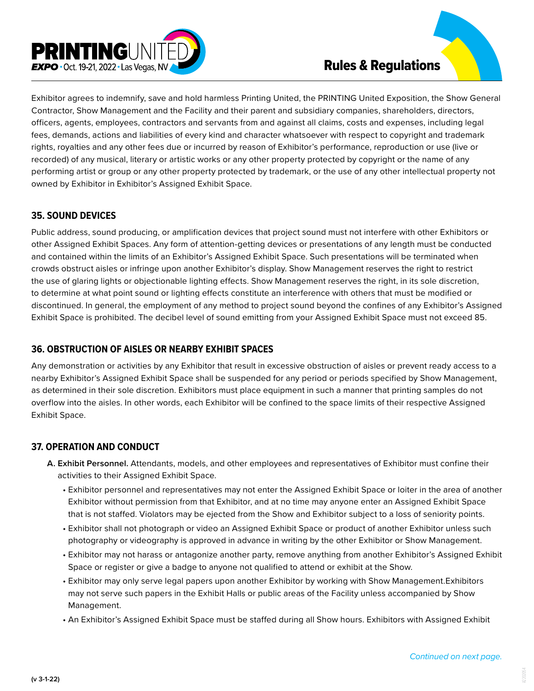

Exhibitor agrees to indemnify, save and hold harmless Printing United, the PRINTING United Exposition, the Show General Contractor, Show Management and the Facility and their parent and subsidiary companies, shareholders, directors, officers, agents, employees, contractors and servants from and against all claims, costs and expenses, including legal fees, demands, actions and liabilities of every kind and character whatsoever with respect to copyright and trademark rights, royalties and any other fees due or incurred by reason of Exhibitor's performance, reproduction or use (live or recorded) of any musical, literary or artistic works or any other property protected by copyright or the name of any performing artist or group or any other property protected by trademark, or the use of any other intellectual property not owned by Exhibitor in Exhibitor's Assigned Exhibit Space.

## **35. SOUND DEVICES**

Public address, sound producing, or amplification devices that project sound must not interfere with other Exhibitors or other Assigned Exhibit Spaces. Any form of attention-getting devices or presentations of any length must be conducted and contained within the limits of an Exhibitor's Assigned Exhibit Space. Such presentations will be terminated when crowds obstruct aisles or infringe upon another Exhibitor's display. Show Management reserves the right to restrict the use of glaring lights or objectionable lighting effects. Show Management reserves the right, in its sole discretion, to determine at what point sound or lighting effects constitute an interference with others that must be modified or discontinued. In general, the employment of any method to project sound beyond the confines of any Exhibitor's Assigned Exhibit Space is prohibited. The decibel level of sound emitting from your Assigned Exhibit Space must not exceed 85.

# **36. OBSTRUCTION OF AISLES OR NEARBY EXHIBIT SPACES**

Any demonstration or activities by any Exhibitor that result in excessive obstruction of aisles or prevent ready access to a nearby Exhibitor's Assigned Exhibit Space shall be suspended for any period or periods specified by Show Management, as determined in their sole discretion. Exhibitors must place equipment in such a manner that printing samples do not overflow into the aisles. In other words, each Exhibitor will be confined to the space limits of their respective Assigned Exhibit Space.

# **37. OPERATION AND CONDUCT**

- **A. Exhibit Personnel.** Attendants, models, and other employees and representatives of Exhibitor must confine their activities to their Assigned Exhibit Space.
	- Exhibitor personnel and representatives may not enter the Assigned Exhibit Space or loiter in the area of another Exhibitor without permission from that Exhibitor, and at no time may anyone enter an Assigned Exhibit Space that is not staffed. Violators may be ejected from the Show and Exhibitor subject to a loss of seniority points.
	- Exhibitor shall not photograph or video an Assigned Exhibit Space or product of another Exhibitor unless such photography or videography is approved in advance in writing by the other Exhibitor or Show Management.
	- Exhibitor may not harass or antagonize another party, remove anything from another Exhibitor's Assigned Exhibit Space or register or give a badge to anyone not qualified to attend or exhibit at the Show.
	- Exhibitor may only serve legal papers upon another Exhibitor by working with Show Management.Exhibitors may not serve such papers in the Exhibit Halls or public areas of the Facility unless accompanied by Show Management.
	- An Exhibitor's Assigned Exhibit Space must be staffed during all Show hours. Exhibitors with Assigned Exhibit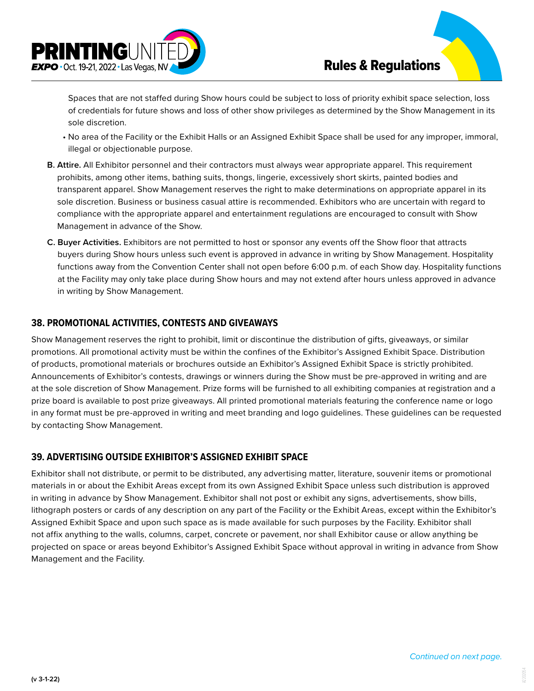

Spaces that are not staffed during Show hours could be subject to loss of priority exhibit space selection, loss of credentials for future shows and loss of other show privileges as determined by the Show Management in its sole discretion.

- No area of the Facility or the Exhibit Halls or an Assigned Exhibit Space shall be used for any improper, immoral, illegal or objectionable purpose.
- **B. Attire.** All Exhibitor personnel and their contractors must always wear appropriate apparel. This requirement prohibits, among other items, bathing suits, thongs, lingerie, excessively short skirts, painted bodies and transparent apparel. Show Management reserves the right to make determinations on appropriate apparel in its sole discretion. Business or business casual attire is recommended. Exhibitors who are uncertain with regard to compliance with the appropriate apparel and entertainment regulations are encouraged to consult with Show Management in advance of the Show.
- **C. Buyer Activities.** Exhibitors are not permitted to host or sponsor any events off the Show floor that attracts buyers during Show hours unless such event is approved in advance in writing by Show Management. Hospitality functions away from the Convention Center shall not open before 6:00 p.m. of each Show day. Hospitality functions at the Facility may only take place during Show hours and may not extend after hours unless approved in advance in writing by Show Management.

### **38. PROMOTIONAL ACTIVITIES, CONTESTS AND GIVEAWAYS**

Show Management reserves the right to prohibit, limit or discontinue the distribution of gifts, giveaways, or similar promotions. All promotional activity must be within the confines of the Exhibitor's Assigned Exhibit Space. Distribution of products, promotional materials or brochures outside an Exhibitor's Assigned Exhibit Space is strictly prohibited. Announcements of Exhibitor's contests, drawings or winners during the Show must be pre-approved in writing and are at the sole discretion of Show Management. Prize forms will be furnished to all exhibiting companies at registration and a prize board is available to post prize giveaways. All printed promotional materials featuring the conference name or logo in any format must be pre-approved in writing and meet branding and logo guidelines. These guidelines can be requested by contacting Show Management.

## **39. ADVERTISING OUTSIDE EXHIBITOR'S ASSIGNED EXHIBIT SPACE**

Exhibitor shall not distribute, or permit to be distributed, any advertising matter, literature, souvenir items or promotional materials in or about the Exhibit Areas except from its own Assigned Exhibit Space unless such distribution is approved in writing in advance by Show Management. Exhibitor shall not post or exhibit any signs, advertisements, show bills, lithograph posters or cards of any description on any part of the Facility or the Exhibit Areas, except within the Exhibitor's Assigned Exhibit Space and upon such space as is made available for such purposes by the Facility. Exhibitor shall not affix anything to the walls, columns, carpet, concrete or pavement, nor shall Exhibitor cause or allow anything be projected on space or areas beyond Exhibitor's Assigned Exhibit Space without approval in writing in advance from Show Management and the Facility.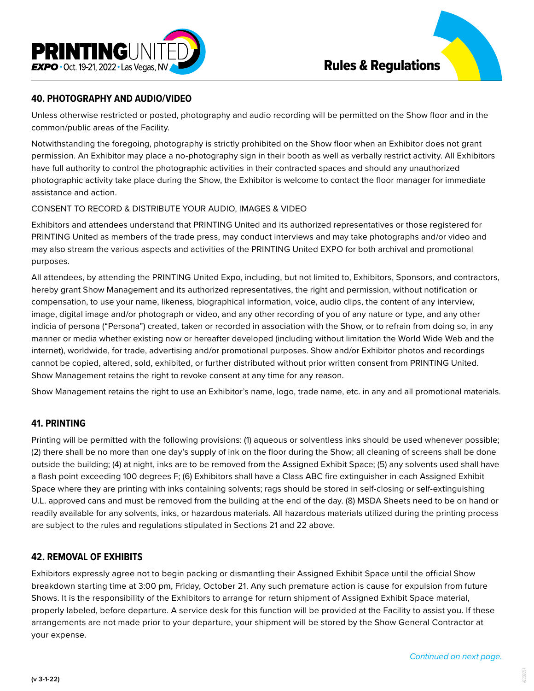

## **40. PHOTOGRAPHY AND AUDIO/VIDEO**

Unless otherwise restricted or posted, photography and audio recording will be permitted on the Show floor and in the common/public areas of the Facility.

Notwithstanding the foregoing, photography is strictly prohibited on the Show floor when an Exhibitor does not grant permission. An Exhibitor may place a no-photography sign in their booth as well as verbally restrict activity. All Exhibitors have full authority to control the photographic activities in their contracted spaces and should any unauthorized photographic activity take place during the Show, the Exhibitor is welcome to contact the floor manager for immediate assistance and action.

### CONSENT TO RECORD & DISTRIBUTE YOUR AUDIO, IMAGES & VIDEO

Exhibitors and attendees understand that PRINTING United and its authorized representatives or those registered for PRINTING United as members of the trade press, may conduct interviews and may take photographs and/or video and may also stream the various aspects and activities of the PRINTING United EXPO for both archival and promotional purposes.

All attendees, by attending the PRINTING United Expo, including, but not limited to, Exhibitors, Sponsors, and contractors, hereby grant Show Management and its authorized representatives, the right and permission, without notification or compensation, to use your name, likeness, biographical information, voice, audio clips, the content of any interview, image, digital image and/or photograph or video, and any other recording of you of any nature or type, and any other indicia of persona ("Persona") created, taken or recorded in association with the Show, or to refrain from doing so, in any manner or media whether existing now or hereafter developed (including without limitation the World Wide Web and the internet), worldwide, for trade, advertising and/or promotional purposes. Show and/or Exhibitor photos and recordings cannot be copied, altered, sold, exhibited, or further distributed without prior written consent from PRINTING United. Show Management retains the right to revoke consent at any time for any reason.

Show Management retains the right to use an Exhibitor's name, logo, trade name, etc. in any and all promotional materials.

## **41. PRINTING**

Printing will be permitted with the following provisions: (1) aqueous or solventless inks should be used whenever possible; (2) there shall be no more than one day's supply of ink on the floor during the Show; all cleaning of screens shall be done outside the building; (4) at night, inks are to be removed from the Assigned Exhibit Space; (5) any solvents used shall have a flash point exceeding 100 degrees F; (6) Exhibitors shall have a Class ABC fire extinguisher in each Assigned Exhibit Space where they are printing with inks containing solvents; rags should be stored in self-closing or self-extinguishing U.L. approved cans and must be removed from the building at the end of the day. (8) MSDA Sheets need to be on hand or readily available for any solvents, inks, or hazardous materials. All hazardous materials utilized during the printing process are subject to the rules and regulations stipulated in Sections 21 and 22 above.

# **42. REMOVAL OF EXHIBITS**

Exhibitors expressly agree not to begin packing or dismantling their Assigned Exhibit Space until the official Show breakdown starting time at 3:00 pm, Friday, October 21. Any such premature action is cause for expulsion from future Shows. It is the responsibility of the Exhibitors to arrange for return shipment of Assigned Exhibit Space material, properly labeled, before departure. A service desk for this function will be provided at the Facility to assist you. If these arrangements are not made prior to your departure, your shipment will be stored by the Show General Contractor at your expense.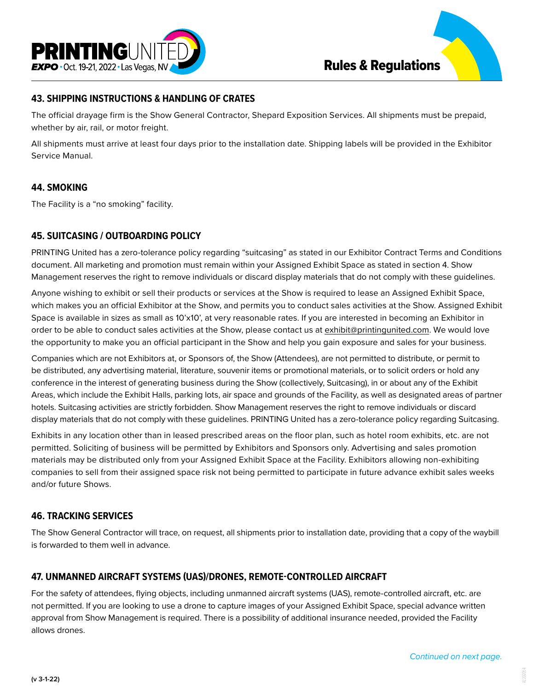



## **43. SHIPPING INSTRUCTIONS & HANDLING OF CRATES**

The official drayage firm is the Show General Contractor, Shepard Exposition Services. All shipments must be prepaid, whether by air, rail, or motor freight.

All shipments must arrive at least four days prior to the installation date. Shipping labels will be provided in the Exhibitor Service Manual.

### **44. SMOKING**

The Facility is a "no smoking" facility.

### **45. SUITCASING / OUTBOARDING POLICY**

PRINTING United has a zero-tolerance policy regarding "suitcasing" as stated in our Exhibitor Contract Terms and Conditions document. All marketing and promotion must remain within your Assigned Exhibit Space as stated in section 4. Show Management reserves the right to remove individuals or discard display materials that do not comply with these guidelines.

Anyone wishing to exhibit or sell their products or services at the Show is required to lease an Assigned Exhibit Space, which makes you an official Exhibitor at the Show, and permits you to conduct sales activities at the Show. Assigned Exhibit Space is available in sizes as small as 10'x10', at very reasonable rates. If you are interested in becoming an Exhibitor in order to be able to conduct sales activities at the Show, please contact us at exhibit@printingunited.com. We would love the opportunity to make you an official participant in the Show and help you gain exposure and sales for your business.

Companies which are not Exhibitors at, or Sponsors of, the Show (Attendees), are not permitted to distribute, or permit to be distributed, any advertising material, literature, souvenir items or promotional materials, or to solicit orders or hold any conference in the interest of generating business during the Show (collectively, Suitcasing), in or about any of the Exhibit Areas, which include the Exhibit Halls, parking lots, air space and grounds of the Facility, as well as designated areas of partner hotels. Suitcasing activities are strictly forbidden. Show Management reserves the right to remove individuals or discard display materials that do not comply with these guidelines. PRINTING United has a zero-tolerance policy regarding Suitcasing.

Exhibits in any location other than in leased prescribed areas on the floor plan, such as hotel room exhibits, etc. are not permitted. Soliciting of business will be permitted by Exhibitors and Sponsors only. Advertising and sales promotion materials may be distributed only from your Assigned Exhibit Space at the Facility. Exhibitors allowing non-exhibiting companies to sell from their assigned space risk not being permitted to participate in future advance exhibit sales weeks and/or future Shows.

### **46. TRACKING SERVICES**

The Show General Contractor will trace, on request, all shipments prior to installation date, providing that a copy of the waybill is forwarded to them well in advance.

### **47. UNMANNED AIRCRAFT SYSTEMS (UAS)/DRONES, REMOTE-CONTROLLED AIRCRAFT**

For the safety of attendees, flying objects, including unmanned aircraft systems (UAS), remote-controlled aircraft, etc. are not permitted. If you are looking to use a drone to capture images of your Assigned Exhibit Space, special advance written approval from Show Management is required. There is a possibility of additional insurance needed, provided the Facility allows drones.